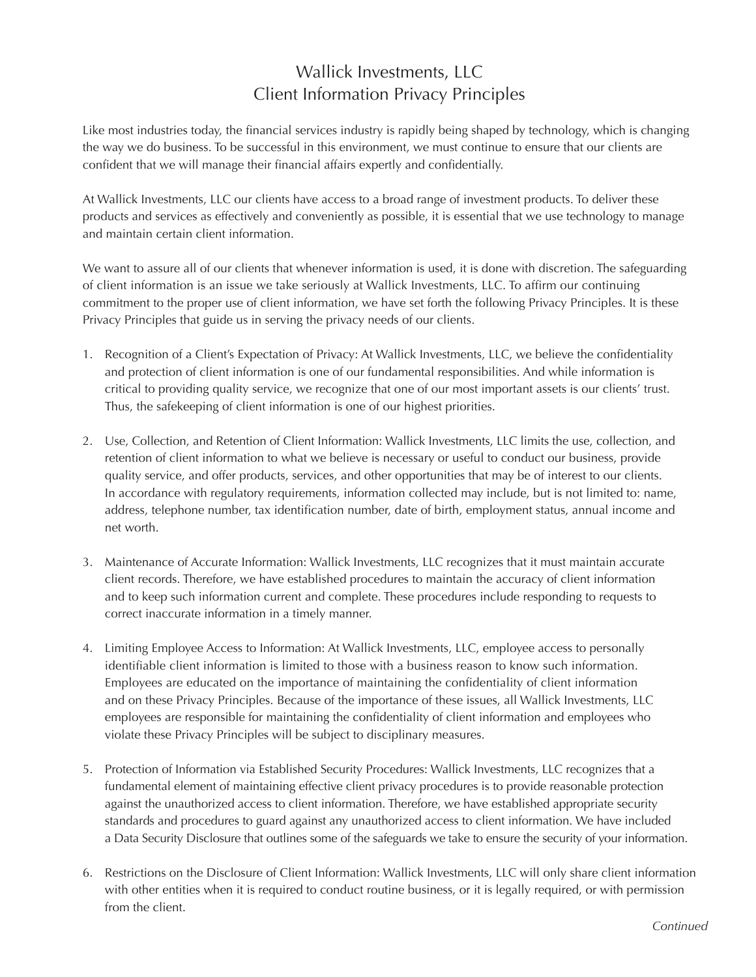## Wallick Investments, LLC Client Information Privacy Principles

Like most industries today, the financial services industry is rapidly being shaped by technology, which is changing the way we do business. To be successful in this environment, we must continue to ensure that our clients are confident that we will manage their financial affairs expertly and confidentially.

At Wallick Investments, LLC our clients have access to a broad range of investment products. To deliver these products and services as effectively and conveniently as possible, it is essential that we use technology to manage and maintain certain client information.

We want to assure all of our clients that whenever information is used, it is done with discretion. The safeguarding of client information is an issue we take seriously at Wallick Investments, LLC. To affirm our continuing commitment to the proper use of client information, we have set forth the following Privacy Principles. It is these Privacy Principles that guide us in serving the privacy needs of our clients.

- 1. Recognition of a Client's Expectation of Privacy: At Wallick Investments, LLC, we believe the confidentiality and protection of client information is one of our fundamental responsibilities. And while information is critical to providing quality service, we recognize that one of our most important assets is our clients' trust. Thus, the safekeeping of client information is one of our highest priorities.
- 2. Use, Collection, and Retention of Client Information: Wallick Investments, LLC limits the use, collection, and retention of client information to what we believe is necessary or useful to conduct our business, provide quality service, and offer products, services, and other opportunities that may be of interest to our clients. In accordance with regulatory requirements, information collected may include, but is not limited to: name, address, telephone number, tax identification number, date of birth, employment status, annual income and net worth.
- 3. Maintenance of Accurate Information: Wallick Investments, LLC recognizes that it must maintain accurate client records. Therefore, we have established procedures to maintain the accuracy of client information and to keep such information current and complete. These procedures include responding to requests to correct inaccurate information in a timely manner.
- 4. Limiting Employee Access to Information: At Wallick Investments, LLC, employee access to personally identifiable client information is limited to those with a business reason to know such information. Employees are educated on the importance of maintaining the confidentiality of client information and on these Privacy Principles. Because of the importance of these issues, all Wallick Investments, LLC employees are responsible for maintaining the confidentiality of client information and employees who violate these Privacy Principles will be subject to disciplinary measures.
- 5. Protection of Information via Established Security Procedures: Wallick Investments, LLC recognizes that a fundamental element of maintaining effective client privacy procedures is to provide reasonable protection against the unauthorized access to client information. Therefore, we have established appropriate security standards and procedures to guard against any unauthorized access to client information. We have included a Data Security Disclosure that outlines some of the safeguards we take to ensure the security of your information.
- 6. Restrictions on the Disclosure of Client Information: Wallick Investments, LLC will only share client information with other entities when it is required to conduct routine business, or it is legally required, or with permission from the client.